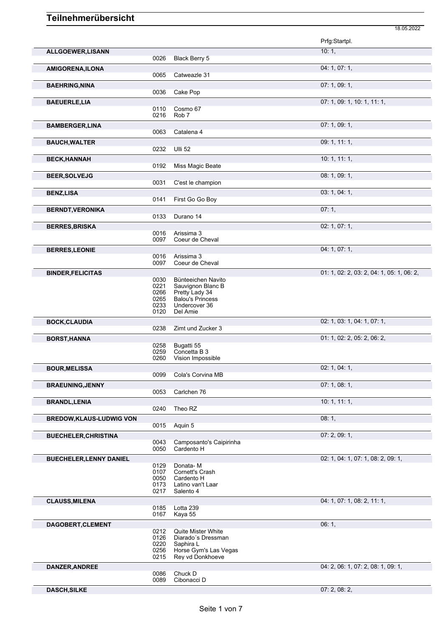|                                 |              |                                          | Prfg:Startpl.                             |
|---------------------------------|--------------|------------------------------------------|-------------------------------------------|
| <b>ALLGOEWER, LISANN</b>        |              |                                          | 10:1,                                     |
|                                 | 0026         | Black Berry 5                            |                                           |
| AMIGORENA, ILONA                |              |                                          | 04: 1, 07: 1,                             |
|                                 | 0065         | Catweazle 31                             |                                           |
| <b>BAEHRING, NINA</b>           |              |                                          | 07:1,09:1,                                |
|                                 | 0036         | Cake Pop                                 |                                           |
| <b>BAEUERLE, LIA</b>            |              |                                          | 07: 1, 09: 1, 10: 1, 11: 1,               |
|                                 | 0110         | Cosmo 67                                 |                                           |
|                                 | 0216         | Rob <sub>7</sub>                         |                                           |
| <b>BAMBERGER,LINA</b>           | 0063         | Catalena 4                               | 07:1,09:1,                                |
|                                 |              |                                          |                                           |
| <b>BAUCH, WALTER</b>            | 0232         | <b>Ulli 52</b>                           | 09: 1, 11: 1,                             |
|                                 |              |                                          |                                           |
| <b>BECK, HANNAH</b>             | 0192         | Miss Magic Beate                         | 10: 1, 11: 1,                             |
|                                 |              |                                          |                                           |
| <b>BEER, SOLVEJG</b>            | 0031         | C'est le champion                        | 08: 1, 09: 1,                             |
|                                 |              |                                          | 03: 1, 04: 1,                             |
| <b>BENZ,LISA</b>                | 0141         | First Go Go Boy                          |                                           |
| <b>BERNDT, VERONIKA</b>         |              |                                          | 07:1,                                     |
|                                 | 0133         | Durano 14                                |                                           |
| <b>BERRES, BRISKA</b>           |              |                                          | 02: 1, 07: 1,                             |
|                                 | 0016         | Arissima 3                               |                                           |
|                                 | 0097         | Coeur de Cheval                          |                                           |
| <b>BERRES, LEONIE</b>           |              |                                          | 04:1,07:1,                                |
|                                 | 0016         | Arissima 3                               |                                           |
|                                 | 0097         | Coeur de Cheval                          |                                           |
| <b>BINDER, FELICITAS</b>        | 0030         | Bünteeichen Navito                       | 01: 1, 02: 2, 03: 2, 04: 1, 05: 1, 06: 2, |
|                                 | 0221         | Sauvignon Blanc B                        |                                           |
|                                 | 0266         | Pretty Lady 34                           |                                           |
|                                 | 0265<br>0233 | <b>Balou's Princess</b><br>Undercover 36 |                                           |
|                                 | 0120         | Del Amie                                 |                                           |
| <b>BOCK, CLAUDIA</b>            |              |                                          | 02: 1, 03: 1, 04: 1, 07: 1,               |
|                                 | 0238         | Zimt und Zucker 3                        |                                           |
| <b>BORST, HANNA</b>             |              |                                          | 01: 1, 02: 2, 05: 2, 06: 2,               |
|                                 | 0258         | Bugatti 55                               |                                           |
|                                 | 0259<br>0260 | Concetta B 3<br>Vision Impossible        |                                           |
|                                 |              |                                          |                                           |
| <b>BOUR, MELISSA</b>            | 0099         | Cola's Corvina MB                        | 02: 1, 04: 1,                             |
| <b>BRAEUNING, JENNY</b>         |              |                                          | 07:1,08:1,                                |
|                                 | 0053         | Carlchen 76                              |                                           |
| <b>BRANDL, LENIA</b>            |              |                                          | 10: 1, 11: 1,                             |
|                                 | 0240         | Theo RZ                                  |                                           |
| <b>BREDOW, KLAUS-LUDWIG VON</b> |              |                                          | 08:1,                                     |
|                                 | 0015         | Aquin 5                                  |                                           |
| <b>BUECHELER, CHRISTINA</b>     |              |                                          | 07: 2, 09: 1,                             |
|                                 | 0043         | Camposanto's Caipirinha                  |                                           |
|                                 | 0050         | Cardento H                               |                                           |
| <b>BUECHELER, LENNY DANIEL</b>  |              |                                          | 02: 1, 04: 1, 07: 1, 08: 2, 09: 1,        |
|                                 | 0129<br>0107 | Donata-M<br>Cornett's Crash              |                                           |
|                                 | 0050         | Cardento H                               |                                           |
|                                 | 0173<br>0217 | Latino van't Laar<br>Salento 4           |                                           |
|                                 |              |                                          |                                           |
| <b>CLAUSS, MILENA</b>           | 0185         | Lotta 239                                | 04: 1, 07: 1, 08: 2, 11: 1,               |
|                                 | 0167         | Kaya 55                                  |                                           |
| DAGOBERT, CLEMENT               |              |                                          | 06:1,                                     |
|                                 | 0212         | Quite Mister White                       |                                           |
|                                 | 0126         | Diarado's Dressman                       |                                           |
|                                 | 0220<br>0256 | Saphira L<br>Horse Gym's Las Vegas       |                                           |
|                                 | 0215         | Rey vd Donkhoeve                         |                                           |
| DANZER, ANDREE                  |              |                                          | 04: 2, 06: 1, 07: 2, 08: 1, 09: 1,        |
|                                 | 0086         | Chuck D                                  |                                           |
|                                 | 0089         | Cibonacci D                              |                                           |

18.05.2022

**DASCH,SILKE** 07: 2, 08: 2,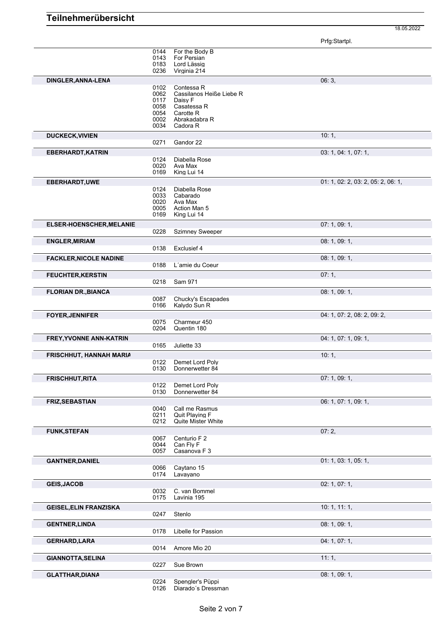Prfg:Startpl.

18.05.2022

|                                 | 0144 | For the Body B                     |                                    |
|---------------------------------|------|------------------------------------|------------------------------------|
|                                 | 0143 | For Persian                        |                                    |
|                                 | 0183 | Lord Lässig                        |                                    |
|                                 | 0236 | Virginia 214                       |                                    |
|                                 |      |                                    |                                    |
| DINGLER, ANNA-LENA              |      |                                    | 06:3,                              |
|                                 | 0102 | Contessa R                         |                                    |
|                                 | 0062 | Cassilanos Heiße Liebe R           |                                    |
|                                 | 0117 | Daisy F                            |                                    |
|                                 | 0058 | Casatessa R                        |                                    |
|                                 | 0054 | Carotte R                          |                                    |
|                                 | 0002 | Abrakadabra R                      |                                    |
|                                 | 0034 | Cadora R                           |                                    |
|                                 |      |                                    |                                    |
| <b>DUCKECK, VIVIEN</b>          |      |                                    | 10:1,                              |
|                                 | 0271 | Gandor 22                          |                                    |
|                                 |      |                                    | 03: 1, 04: 1, 07: 1,               |
| <b>EBERHARDT, KATRIN</b>        |      |                                    |                                    |
|                                 | 0124 | Diabella Rose                      |                                    |
|                                 | 0020 | Ava Max                            |                                    |
|                                 | 0169 | King Lui 14                        |                                    |
| EBERHARDT, UWE                  |      |                                    | 01: 1, 02: 2, 03: 2, 05: 2, 06: 1, |
|                                 |      | Diabella Rose                      |                                    |
|                                 | 0124 |                                    |                                    |
|                                 | 0033 | Cabarado                           |                                    |
|                                 | 0020 | Ava Max                            |                                    |
|                                 | 0005 | Action Man 5                       |                                    |
|                                 | 0169 | King Lui 14                        |                                    |
| <b>ELSER-HOENSCHER, MELANIE</b> |      |                                    | 07: 1, 09: 1,                      |
|                                 | 0228 | <b>Szimney Sweeper</b>             |                                    |
|                                 |      |                                    |                                    |
| <b>ENGLER, MIRIAM</b>           |      |                                    | 08: 1, 09: 1,                      |
|                                 | 0138 | Exclusief 4                        |                                    |
|                                 |      |                                    |                                    |
| <b>FACKLER, NICOLE NADINE</b>   |      |                                    | 08: 1, 09: 1,                      |
|                                 | 0188 | L'amie du Coeur                    |                                    |
|                                 |      |                                    |                                    |
| <b>FEUCHTER, KERSTIN</b>        |      |                                    | 07:1,                              |
|                                 | 0218 | Sam 971                            |                                    |
| <b>FLORIAN DR., BIANCA</b>      |      |                                    | 08:1,09:1,                         |
|                                 | 0087 | Chucky's Escapades                 |                                    |
|                                 |      |                                    |                                    |
|                                 | 0166 | Kalydo Sun R                       |                                    |
| <b>FOYER, JENNIFER</b>          |      |                                    | 04: 1, 07: 2, 08: 2, 09: 2,        |
|                                 | 0075 | Charmeur 450                       |                                    |
|                                 | 0204 | Quentin 180                        |                                    |
|                                 |      |                                    |                                    |
| FREY, YVONNE ANN-KATRIN         |      |                                    | 04: 1, 07: 1, 09: 1,               |
|                                 | 0165 | Juliette 33                        |                                    |
| <b>FRISCHHUT, HANNAH MARIA</b>  |      |                                    | 10:1,                              |
|                                 |      |                                    |                                    |
|                                 | 0122 | Demet Lord Poly<br>Donnerwetter 84 |                                    |
|                                 | 0130 |                                    |                                    |
| <b>FRISCHHUT, RITA</b>          |      |                                    | 07:1,09:1,                         |
|                                 | 0122 | Demet Lord Poly                    |                                    |
|                                 | 0130 | Donnerwetter 84                    |                                    |
|                                 |      |                                    |                                    |
| <b>FRIZ, SEBASTIAN</b>          |      |                                    | 06: 1, 07: 1, 09: 1,               |
|                                 | 0040 | Call me Rasmus                     |                                    |
|                                 | 0211 | Quit Playing F                     |                                    |
|                                 | 0212 | <b>Quite Mister White</b>          |                                    |
|                                 |      |                                    |                                    |
| <b>FUNK, STEFAN</b>             |      |                                    | 07:2,                              |
|                                 | 0067 | Centurio F 2                       |                                    |
|                                 | 0044 | Can Fly F                          |                                    |
|                                 | 0057 | Casanova F 3                       |                                    |
| <b>GANTNER, DANIEL</b>          |      |                                    | 01: 1, 03: 1, 05: 1,               |
|                                 | 0066 | Caytano 15                         |                                    |
|                                 | 0174 | Lavayano                           |                                    |
|                                 |      |                                    |                                    |
| <b>GEIS, JACOB</b>              |      |                                    | 02: 1, 07: 1,                      |
|                                 | 0032 | C. van Bommel                      |                                    |
|                                 | 0175 | Lavinia 195                        |                                    |
|                                 |      |                                    |                                    |
| <b>GEISEL, ELIN FRANZISKA</b>   |      |                                    | 10: 1, 11: 1,                      |
|                                 | 0247 | Stenlo                             |                                    |
| <b>GENTNER, LINDA</b>           |      |                                    | 08:1,09:1,                         |
|                                 |      | Libelle for Passion                |                                    |
|                                 | 0178 |                                    |                                    |
| <b>GERHARD, LARA</b>            |      |                                    | 04:1,07:1,                         |
|                                 | 0014 | Amore Mio 20                       |                                    |
|                                 |      |                                    |                                    |
| <b>GIANNOTTA, SELINA</b>        |      |                                    | 11:1,                              |
|                                 | 0227 | Sue Brown                          |                                    |
| <b>GLATTHAR, DIANA</b>          |      |                                    | 08:1,09:1,                         |
|                                 |      |                                    |                                    |
|                                 | 0224 | Spengler's Püppi                   |                                    |
|                                 | 0126 | Diarado's Dressman                 |                                    |

Seite 2 von 7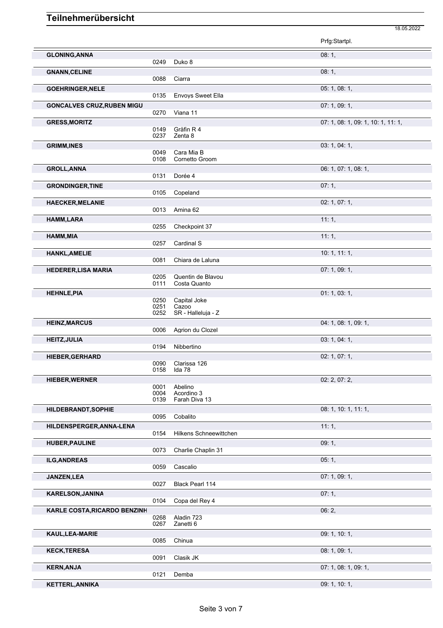|                                   |              |                               | Prfg:Startpl.                      |
|-----------------------------------|--------------|-------------------------------|------------------------------------|
| <b>GLONING, ANNA</b>              | 0249         | Duko 8                        | 08:1,                              |
| <b>GNANN, CELINE</b>              | 0088         | Ciarra                        | 08:1,                              |
| <b>GOEHRINGER, NELE</b>           |              |                               | 05: 1, 08: 1,                      |
|                                   | 0135         | Envoys Sweet Ella             |                                    |
| <b>GONCALVES CRUZ, RUBEN MIGU</b> | 0270         | Viana 11                      | 07:1,09:1,                         |
| <b>GRESS, MORITZ</b>              |              |                               | 07: 1, 08: 1, 09: 1, 10: 1, 11: 1, |
|                                   | 0149<br>0237 | Gräfin R 4<br>Zenta 8         |                                    |
| <b>GRIMM, INES</b>                | 0049         | Cara Mia B                    | 03: 1, 04: 1,                      |
|                                   | 0108         | Cornetto Groom                |                                    |
| <b>GROLL, ANNA</b>                |              |                               | 06: 1, 07: 1, 08: 1,               |
|                                   | 0131         | Dorée 4                       |                                    |
| <b>GRONDINGER, TINE</b>           | 0105         | Copeland                      | 07:1,                              |
| <b>HAECKER, MELANIE</b>           |              |                               | 02: 1, 07: 1,                      |
|                                   | 0013         | Amina 62                      |                                    |
| <b>HAMM, LARA</b>                 | 0255         | Checkpoint 37                 | 11:1,                              |
| HAMM, MIA                         |              |                               | 11:1,                              |
|                                   | 0257         | Cardinal S                    |                                    |
| <b>HANKL, AMELIE</b>              |              |                               | 10: 1, 11: 1,                      |
|                                   | 0081         | Chiara de Laluna              |                                    |
| <b>HEDERER, LISA MARIA</b>        | 0205         | Quentin de Blavou             | 07:1,09:1,                         |
|                                   | 0111         | Costa Quanto                  |                                    |
| <b>HEHNLE, PIA</b>                |              |                               | 01: 1, 03: 1,                      |
|                                   | 0250<br>0251 | Capital Joke<br>Cazoo         |                                    |
|                                   | 0252         | SR - Halleluja - Z            |                                    |
| <b>HEINZ, MARCUS</b>              |              |                               | 04: 1, 08: 1, 09: 1,               |
|                                   | 0006         | Agrion du Clozel              |                                    |
| <b>HEITZ, JULIA</b>               | 0194         | Nibbertino                    | 03: 1, 04: 1,                      |
| <b>HIEBER, GERHARD</b>            |              |                               | 02: 1, 07: 1,                      |
|                                   | 0090         | Clarissa 126                  |                                    |
|                                   | 0158         | Ida 78                        |                                    |
| <b>HIEBER, WERNER</b>             | 0001         | Abelino                       | 02: 2, 07: 2,                      |
|                                   | 0004         | Acordino 3                    |                                    |
|                                   | 0139         | Farah Diva 13                 |                                    |
| HILDEBRANDT, SOPHIE               | 0095         | Cobalito                      | 08: 1, 10: 1, 11: 1,               |
| HILDENSPERGER, ANNA-LENA          |              |                               | 11:1,                              |
|                                   | 0154         | <b>Hilkens Schneewittchen</b> |                                    |
| <b>HUBER, PAULINE</b>             |              |                               | 09:1,                              |
|                                   | 0073         | Charlie Chaplin 31            |                                    |
| <b>ILG, ANDREAS</b>               | 0059         | Cascalio                      | 05:1,                              |
| JANZEN, LEA                       |              |                               | 07: 1, 09: 1,                      |
|                                   | 0027         | Black Pearl 114               |                                    |
| <b>KARELSON, JANINA</b>           |              |                               | 07:1,                              |
|                                   | 0104         | Copa del Rey 4                |                                    |
| KARLE COSTA, RICARDO BENZINH      | 0268         | Aladin 723                    | 06:2,                              |
|                                   | 0267         | Zanetti 6                     |                                    |
| KAUL, LEA-MARIE                   |              |                               | 09: 1, 10: 1,                      |
|                                   | 0085         | Chinua                        |                                    |
| <b>KECK, TERESA</b>               | 0091         | Clasik JK                     | 08: 1, 09: 1,                      |
| <b>KERN, ANJA</b>                 |              |                               | 07: 1, 08: 1, 09: 1,               |
|                                   | 0121         | Demba                         |                                    |
| <b>KETTERL, ANNIKA</b>            |              |                               | 09: 1, 10: 1,                      |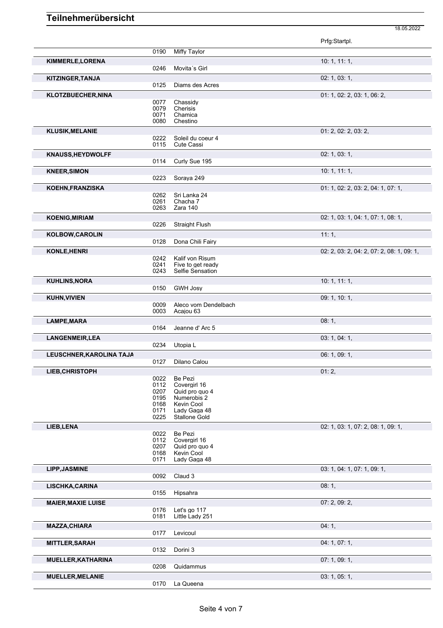|                           |              |                                 | Prfg:Startpl.                             |
|---------------------------|--------------|---------------------------------|-------------------------------------------|
|                           | 0190         | Miffy Taylor                    |                                           |
| KIMMERLE, LORENA          |              |                                 | 10: 1, 11: 1,                             |
|                           | 0246         | Movita's Girl                   |                                           |
| KITZINGER, TANJA          |              |                                 | 02: 1, 03: 1,                             |
|                           | 0125         | Diams des Acres                 |                                           |
| KLOTZBUECHER, NINA        |              |                                 | 01: 1, 02: 2, 03: 1, 06: 2,               |
|                           | 0077         | Chassidy                        |                                           |
|                           | 0079         | <b>Cherisis</b>                 |                                           |
|                           | 0071         | Chamica                         |                                           |
|                           | 0080         | Chestino                        |                                           |
| <b>KLUSIK, MELANIE</b>    |              |                                 | 01: 2, 02: 2, 03: 2,                      |
|                           | 0222         | Soleil du coeur 4               |                                           |
|                           | 0115         | <b>Cute Cassi</b>               |                                           |
| <b>KNAUSS, HEYDWOLFF</b>  |              |                                 | 02: 1, 03: 1,                             |
|                           | 0114         | Curly Sue 195                   |                                           |
| <b>KNEER, SIMON</b>       |              |                                 | 10: 1, 11: 1,                             |
|                           | 0223         | Soraya 249                      |                                           |
| <b>KOEHN, FRANZISKA</b>   |              |                                 | 01: 1, 02: 2, 03: 2, 04: 1, 07: 1,        |
|                           | 0262         | Sri Lanka 24                    |                                           |
|                           | 0261         | Chacha 7                        |                                           |
|                           | 0263         | Zara 140                        |                                           |
| <b>KOENIG, MIRIAM</b>     |              |                                 | 02: 1, 03: 1, 04: 1, 07: 1, 08: 1,        |
|                           | 0226         | <b>Straight Flush</b>           |                                           |
| KOLBOW, CAROLIN           |              |                                 | 11:1,                                     |
|                           | 0128         | Dona Chili Fairy                |                                           |
| KONLE, HENRI              |              |                                 | 02: 2, 03: 2, 04: 2, 07: 2, 08: 1, 09: 1, |
|                           | 0242         | Kalif von Risum                 |                                           |
|                           | 0241         | Five to get ready               |                                           |
|                           | 0243         | Selfie Sensation                |                                           |
| <b>KUHLINS, NORA</b>      |              |                                 | 10: 1, 11: 1,                             |
|                           | 0150         | <b>GWH Josy</b>                 |                                           |
|                           |              |                                 |                                           |
| <b>KUHN, VIVIEN</b>       | 0009         | Aleco vom Dendelbach            | 09: 1, 10: 1,                             |
|                           | 0003         | Acajou 63                       |                                           |
| LAMPE, MARA               |              |                                 | 08:1,                                     |
|                           | 0164         | Jeanne d'Arc 5                  |                                           |
|                           |              |                                 |                                           |
| <b>LANGENMEIR, LEA</b>    | 0234         | Utopia L                        | 03: 1, 04: 1,                             |
|                           |              |                                 |                                           |
| LEUSCHNER, KAROLINA TAJA  |              |                                 | 06: 1, 09: 1,                             |
|                           | 0127         | Dilano Calou                    |                                           |
| <b>LIEB, CHRISTOPH</b>    |              |                                 | 01:2,                                     |
|                           | 0022         | Be Pezi                         |                                           |
|                           | 0112<br>0207 | Covergirl 16                    |                                           |
|                           | 0195         | Quid pro quo 4<br>Numerobis 2   |                                           |
|                           | 0168         | Kevin Cool                      |                                           |
|                           | 0171         | Lady Gaga 48                    |                                           |
|                           | 0225         | <b>Stallone Gold</b>            |                                           |
| LIEB, LENA                |              |                                 | 02: 1, 03: 1, 07: 2, 08: 1, 09: 1,        |
|                           | 0022         | Be Pezi                         |                                           |
|                           | 0112         | Covergirl 16<br>Quid pro quo 4  |                                           |
|                           | 0207<br>0168 | Kevin Cool                      |                                           |
|                           | 0171         | Lady Gaga 48                    |                                           |
| <b>LIPP, JASMINE</b>      |              |                                 | 03: 1, 04: 1, 07: 1, 09: 1,               |
|                           | 0092         | Claud 3                         |                                           |
| LISCHKA, CARINA           |              |                                 | 08:1,                                     |
|                           | 0155         | Hipsahra                        |                                           |
|                           |              |                                 |                                           |
| <b>MAIER, MAXIE LUISE</b> |              |                                 | 07: 2, 09: 2,                             |
|                           | 0176<br>0181 | Let's go 117<br>Little Lady 251 |                                           |
|                           |              |                                 |                                           |
| <b>MAZZA, CHIARA</b>      |              |                                 | 04:1,                                     |
|                           | 0177         | Levicoul                        |                                           |
| <b>MITTLER, SARAH</b>     |              |                                 | 04: 1, 07: 1,                             |
|                           | 0132         | Dorini 3                        |                                           |
| <b>MUELLER, KATHARINA</b> |              |                                 | 07:1,09:1,                                |
|                           | 0208         | Quidammus                       |                                           |
| <b>MUELLER, MELANIE</b>   |              |                                 | 03: 1, 05: 1,                             |
|                           | 0170         | La Queena                       |                                           |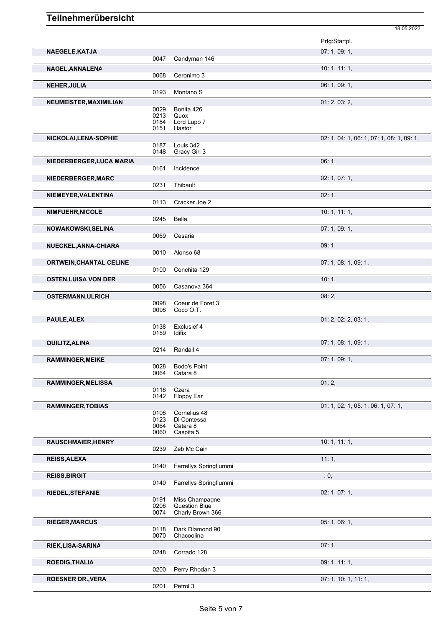|                                |              |                                        | Prfg:Startpl.                             |
|--------------------------------|--------------|----------------------------------------|-------------------------------------------|
| NAEGELE, KATJA                 | 0047         | Candyman 146                           | 07:1,09:1,                                |
| NAGEL, ANNALENA                |              |                                        | 10: 1, 11: 1,                             |
|                                | 0068         | Ceronimo 3                             |                                           |
| <b>NEHER, JULIA</b>            |              |                                        | 06: 1, 09: 1,                             |
|                                | 0193         | Montano <sub>S</sub>                   |                                           |
| NEUMEISTER, MAXIMILIAN         | 0029         | Bonita 426                             | 01: 2, 03: 2,                             |
|                                | 0213         | Quox                                   |                                           |
|                                | 0184         | Lord Lupo 7                            |                                           |
|                                | 0151         | Hastor                                 |                                           |
| NICKOLAI, LENA-SOPHIE          | 0187         | Louis 342                              | 02: 1, 04: 1, 06: 1, 07: 1, 08: 1, 09: 1, |
|                                | 0148         | Gracy Girl 3                           |                                           |
| NIEDERBERGER, LUCA MARIA       |              |                                        | 06:1,                                     |
|                                | 0161         | Incidence                              |                                           |
| NIEDERBERGER, MARC             |              |                                        | 02: 1, 07: 1,                             |
|                                | 0231         | Thibault                               |                                           |
| NIEMEYER, VALENTINA            |              |                                        | 02:1,                                     |
|                                | 0113         | Cracker Joe 2                          |                                           |
| NIMFUEHR, NICOLE               |              |                                        | 10: 1, 11: 1,                             |
|                                | 0245         | Bella                                  |                                           |
| NOWAKOWSKI, SELINA             |              |                                        | 07:1,09:1,                                |
|                                | 0069         | Cesaria                                |                                           |
| NUECKEL, ANNA-CHIARA           |              |                                        | 09:1,                                     |
|                                | 0010         | Alonso 68                              |                                           |
| <b>ORTWEIN, CHANTAL CELINE</b> |              |                                        | 07: 1, 08: 1, 09: 1,                      |
|                                | 0100         | Conchita 129                           |                                           |
| <b>OSTEN, LUISA VON DER</b>    |              |                                        | 10:1,                                     |
|                                | 0056         | Casanova 364                           |                                           |
| <b>OSTERMANN, ULRICH</b>       |              |                                        | 08:2,                                     |
|                                | 0098<br>0096 | Coeur de Foret 3<br>Coco O.T.          |                                           |
| PAULE, ALEX                    |              |                                        | 01: 2, 02: 2, 03: 1,                      |
|                                | 0138         | Exclusief 4                            |                                           |
|                                | 0159         | <b>Idifix</b>                          |                                           |
| QUILITZ, ALINA                 |              |                                        | 07: 1, 08: 1, 09: 1,                      |
|                                | 0214         | Randall 4                              |                                           |
| <b>RAMMINGER, MEIKE</b>        |              |                                        | 07:1,09:1,                                |
|                                | 0028<br>0064 | <b>Bodo's Point</b><br>Catara 8        |                                           |
|                                |              |                                        |                                           |
| <b>RAMMINGER, MELISSA</b>      | 0116         | Czera                                  | 01:2,                                     |
|                                | 0142         | Floppy Ear                             |                                           |
| <b>RAMMINGER, TOBIAS</b>       |              |                                        | 01: 1, 02: 1, 05: 1, 06: 1, 07: 1,        |
|                                | 0106         | Cornelius 48                           |                                           |
|                                | 0123<br>0064 | Di Contessa<br>Catara 8                |                                           |
|                                | 0060         | Caspita 5                              |                                           |
| <b>RAUSCHMAIER, HENRY</b>      |              |                                        | 10: 1, 11: 1,                             |
|                                | 0239         | Zeb Mc Cain                            |                                           |
| <b>REISS, ALEXA</b>            |              |                                        | 11:1,                                     |
|                                | 0140         | Farrellys Springflummi                 |                                           |
| <b>REISS, BIRGIT</b>           |              |                                        | : 0,                                      |
|                                | 0140         | Farrellys Springflummi                 |                                           |
| <b>RIEDEL, STEFANIE</b>        |              |                                        | 02: 1, 07: 1,                             |
|                                | 0191<br>0206 | Miss Champagne<br><b>Question Blue</b> |                                           |
|                                | 0074         | Charly Brown 366                       |                                           |
| <b>RIEGER, MARCUS</b>          |              |                                        | 05: 1, 06: 1,                             |
|                                | 0118         | Dark Diamond 90                        |                                           |
|                                | 0070         | Chacoolina                             |                                           |
| RIEK, LISA-SARINA              |              |                                        | 07:1,                                     |
|                                | 0248         | Corrado 128                            |                                           |
| <b>ROEDIG, THALIA</b>          |              |                                        | 09: 1, 11: 1,                             |
|                                | 0200         | Perry Rhodan 3                         |                                           |
| <b>ROESNER DR., VERA</b>       |              |                                        | 07: 1, 10: 1, 11: 1,                      |
|                                | 0201         | Petrol 3                               |                                           |

18.05.2022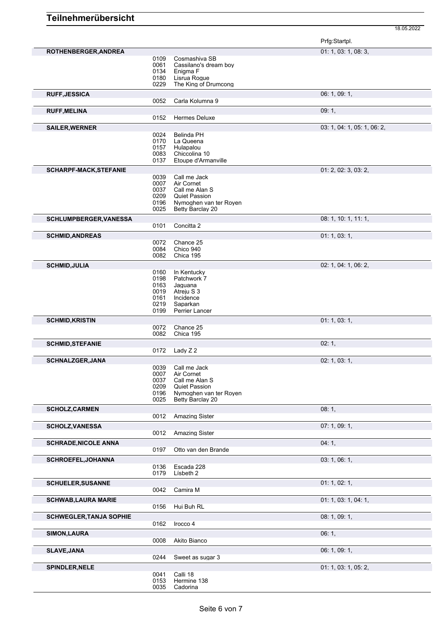|                                |              |                                        | Prfg:Startpl.               |
|--------------------------------|--------------|----------------------------------------|-----------------------------|
| ROTHENBERGER, ANDREA           |              |                                        | 01: 1, 03: 1, 08: 3,        |
|                                | 0109         | Cosmashiva SB                          |                             |
|                                | 0061         | Cassilano's dream boy                  |                             |
|                                | 0134<br>0180 | Enigma F<br>Lisrua Roque               |                             |
|                                | 0229         | The King of Drumcong                   |                             |
| <b>RUFF, JESSICA</b>           |              |                                        | 06: 1, 09: 1,               |
|                                | 0052         | Carla Kolumna 9                        |                             |
| <b>RUFF, MELINA</b>            |              |                                        | 09:1,                       |
|                                | 0152         | Hermes Deluxe                          |                             |
| <b>SAILER, WERNER</b>          |              |                                        | 03: 1, 04: 1, 05: 1, 06: 2, |
|                                | 0024         | Belinda PH                             |                             |
|                                | 0170<br>0157 | La Queena<br>Hulapalou                 |                             |
|                                | 0083         | Chiccolina 10                          |                             |
|                                | 0137         | Etoupe d'Armanville                    |                             |
| <b>SCHARPF-MACK, STEFANIE</b>  |              |                                        | 01: 2, 02: 3, 03: 2,        |
|                                | 0039         | Call me Jack                           |                             |
|                                | 0007<br>0037 | Air Cornet<br>Call me Alan S           |                             |
|                                | 0209         | <b>Quiet Passion</b>                   |                             |
|                                | 0196         | Nymoghen van ter Royen                 |                             |
|                                | 0025         | Betty Barclay 20                       |                             |
| <b>SCHLUMPBERGER, VANESSA</b>  |              |                                        | 08: 1, 10: 1, 11: 1,        |
|                                | 0101         | Concitta 2                             |                             |
| <b>SCHMID, ANDREAS</b>         |              |                                        | 01: 1, 03: 1,               |
|                                | 0072<br>0084 | Chance 25<br>Chico 940                 |                             |
|                                | 0082         | Chica 195                              |                             |
| <b>SCHMID, JULIA</b>           |              |                                        | 02: 1, 04: 1, 06: 2,        |
|                                | 0160         | In Kentucky                            |                             |
|                                | 0198         | Patchwork 7                            |                             |
|                                | 0163<br>0019 | Jaquana<br>Atreju S 3                  |                             |
|                                | 0161         | Incidence                              |                             |
|                                | 0219<br>0199 | Saparkan<br><b>Perrier Lancer</b>      |                             |
|                                |              |                                        |                             |
|                                |              |                                        |                             |
| <b>SCHMID, KRISTIN</b>         |              |                                        | 01: 1, 03: 1,               |
|                                | 0072<br>0082 | Chance 25<br>Chica 195                 |                             |
| <b>SCHMID, STEFANIE</b>        |              |                                        | 02:1,                       |
|                                | 0172         | Lady Z 2                               |                             |
| <b>SCHNALZGER, JANA</b>        |              |                                        | 02: 1, 03: 1,               |
|                                | 0039         | Call me Jack                           |                             |
|                                | 0007         | Air Cornet                             |                             |
|                                | 0037<br>0209 | Call me Alan S<br><b>Quiet Passion</b> |                             |
|                                | 0196         | Nymoghen van ter Royen                 |                             |
|                                | 0025         | Betty Barclay 20                       |                             |
| <b>SCHOLZ, CARMEN</b>          |              |                                        | 08:1,                       |
|                                | 0012         | <b>Amazing Sister</b>                  |                             |
| <b>SCHOLZ, VANESSA</b>         |              |                                        | 07:1,09:1,                  |
|                                | 0012         | <b>Amazing Sister</b>                  |                             |
| <b>SCHRADE, NICOLE ANNA</b>    |              |                                        | 04:1,                       |
|                                | 0197         | Otto van den Brande                    |                             |
| SCHROEFEL, JOHANNA             | 0136         | Escada 228                             | 03: 1, 06: 1,               |
|                                | 0179         | Lísbeth 2                              |                             |
| <b>SCHUELER, SUSANNE</b>       |              |                                        | 01: 1, 02: 1,               |
|                                | 0042         | Camira M                               |                             |
| <b>SCHWAB, LAURA MARIE</b>     |              |                                        | 01: 1, 03: 1, 04: 1,        |
|                                | 0156         | Hui Buh RL                             |                             |
| <b>SCHWEGLER, TANJA SOPHIE</b> |              |                                        | 08:1,09:1,                  |
|                                | 0162         | Irocco 4                               |                             |
| SIMON, LAURA                   |              |                                        | 06:1,                       |
|                                | 0008         | Akito Bianco                           |                             |
| <b>SLAVE, JANA</b>             |              |                                        | 06: 1, 09: 1,               |
|                                | 0244         | Sweet as sugar 3                       |                             |
| <b>SPINDLER, NELE</b>          |              |                                        | 01: 1, 03: 1, 05: 2,        |
|                                | 0041<br>0153 | Calli 18<br>Hermine 138                |                             |